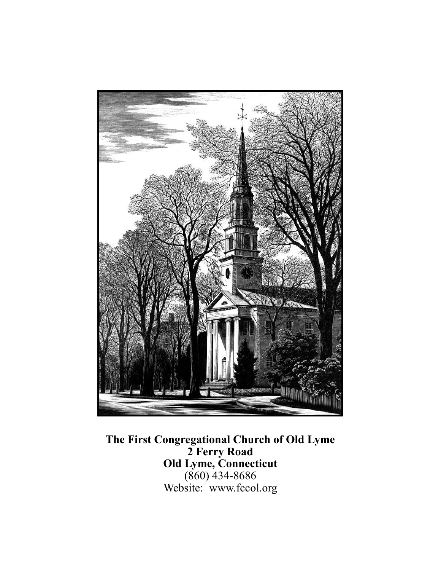

**The First Congregational Church of Old Lyme 2 Ferry Road Old Lyme, Connecticut**  (860) 434-8686 Website: www.fccol.org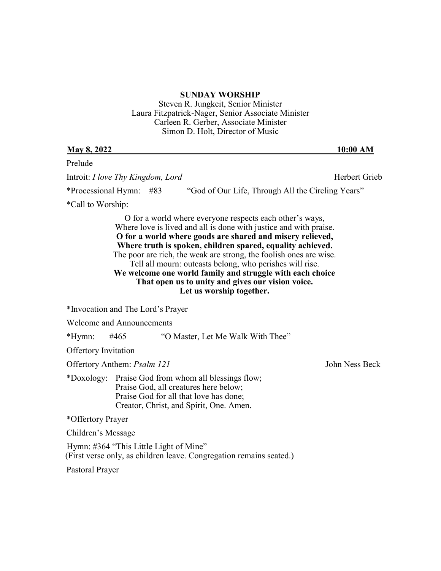## **SUNDAY WORSHIP**

Steven R. Jungkeit, Senior Minister Laura Fitzpatrick-Nager, Senior Associate Minister Carleen R. Gerber, Associate Minister Simon D. Holt, Director of Music

| <b>May 8, 2022</b>                                                                                                                                                                   | 10:00 AM                                                                                                                                                                                                                                                                                                                                                                                                                                                                                                                                 |
|--------------------------------------------------------------------------------------------------------------------------------------------------------------------------------------|------------------------------------------------------------------------------------------------------------------------------------------------------------------------------------------------------------------------------------------------------------------------------------------------------------------------------------------------------------------------------------------------------------------------------------------------------------------------------------------------------------------------------------------|
| Prelude                                                                                                                                                                              |                                                                                                                                                                                                                                                                                                                                                                                                                                                                                                                                          |
| Introit: <i>I love Thy Kingdom</i> , <i>Lord</i>                                                                                                                                     | Herbert Grieb                                                                                                                                                                                                                                                                                                                                                                                                                                                                                                                            |
| *Processional Hymn:<br>#83                                                                                                                                                           | "God of Our Life, Through All the Circling Years"                                                                                                                                                                                                                                                                                                                                                                                                                                                                                        |
| *Call to Worship:                                                                                                                                                                    |                                                                                                                                                                                                                                                                                                                                                                                                                                                                                                                                          |
|                                                                                                                                                                                      | O for a world where everyone respects each other's ways,<br>Where love is lived and all is done with justice and with praise.<br>O for a world where goods are shared and misery relieved,<br>Where truth is spoken, children spared, equality achieved.<br>The poor are rich, the weak are strong, the foolish ones are wise.<br>Tell all mourn: outcasts belong, who perishes will rise.<br>We welcome one world family and struggle with each choice<br>That open us to unity and gives our vision voice.<br>Let us worship together. |
| *Invocation and The Lord's Prayer                                                                                                                                                    |                                                                                                                                                                                                                                                                                                                                                                                                                                                                                                                                          |
| <b>Welcome and Announcements</b>                                                                                                                                                     |                                                                                                                                                                                                                                                                                                                                                                                                                                                                                                                                          |
| *Hymn:<br>#465                                                                                                                                                                       | "O Master, Let Me Walk With Thee"                                                                                                                                                                                                                                                                                                                                                                                                                                                                                                        |
| <b>Offertory Invitation</b>                                                                                                                                                          |                                                                                                                                                                                                                                                                                                                                                                                                                                                                                                                                          |
| Offertory Anthem: Psalm 121                                                                                                                                                          | John Ness Beck                                                                                                                                                                                                                                                                                                                                                                                                                                                                                                                           |
| Praise God from whom all blessings flow;<br>*Doxology:<br>Praise God, all creatures here below;<br>Praise God for all that love has done;<br>Creator, Christ, and Spirit, One. Amen. |                                                                                                                                                                                                                                                                                                                                                                                                                                                                                                                                          |
| *Offertory Prayer                                                                                                                                                                    |                                                                                                                                                                                                                                                                                                                                                                                                                                                                                                                                          |
| Children's Message                                                                                                                                                                   |                                                                                                                                                                                                                                                                                                                                                                                                                                                                                                                                          |
| Hymn: #364 "This Little Light of Mine"<br>(First verse only, as children leave. Congregation remains seated.)                                                                        |                                                                                                                                                                                                                                                                                                                                                                                                                                                                                                                                          |
| Pastoral Prayer                                                                                                                                                                      |                                                                                                                                                                                                                                                                                                                                                                                                                                                                                                                                          |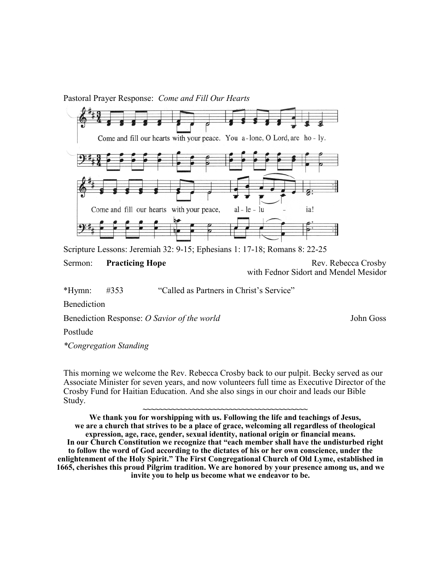## Pastoral Prayer Response: *Come and Fill Our Hearts*



Scripture Lessons: Jeremiah 32: 9-15; Ephesians 1: 17-18; Romans 8: 22-25

Sermon: **Practicing Hope Rev. Rebecca Crosby Rev. Rebecca Crosby** with Fednor Sidort and Mendel Mesidor

\*Hymn: #353 "Called as Partners in Christ's Service"

Benediction

Benediction Response: *O Savior of the world* John Goss John Goss

Postlude

*\*Congregation Standing*

This morning we welcome the Rev. Rebecca Crosby back to our pulpit. Becky served as our Associate Minister for seven years, and now volunteers full time as Executive Director of the Crosby Fund for Haitian Education. And she also sings in our choir and leads our Bible Study.

**~~~~~~~~~~~~~~~~~~~~~~~~~~~~~~~~~~~~~~~~ We thank you for worshipping with us. Following the life and teachings of Jesus, we are a church that strives to be a place of grace, welcoming all regardless of theological expression, age, race, gender, sexual identity, national origin or financial means. In our Church Constitution we recognize that "each member shall have the undisturbed right to follow the word of God according to the dictates of his or her own conscience, under the enlightenment of the Holy Spirit." The First Congregational Church of Old Lyme, established in 1665, cherishes this proud Pilgrim tradition. We are honored by your presence among us, and we invite you to help us become what we endeavor to be.**